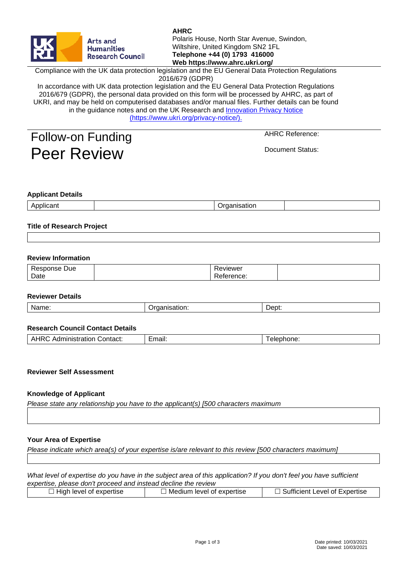| <b>AHRC</b><br>Polaris House, North Star Avenue, Swindon,<br>Arts and<br>Wiltshire, United Kingdom SN2 1FL<br><b>Humanities</b><br>Telephone +44 (0) 1793 416000<br><b>Research Council</b><br>Web https://www.ahrc.ukri.org/ |        |                                                                                                                                                                                                                                                                                                                                                                                                                                  |                        |  |  |
|-------------------------------------------------------------------------------------------------------------------------------------------------------------------------------------------------------------------------------|--------|----------------------------------------------------------------------------------------------------------------------------------------------------------------------------------------------------------------------------------------------------------------------------------------------------------------------------------------------------------------------------------------------------------------------------------|------------------------|--|--|
|                                                                                                                                                                                                                               |        | Compliance with the UK data protection legislation and the EU General Data Protection Regulations<br>2016/679 (GDPR)                                                                                                                                                                                                                                                                                                             |                        |  |  |
|                                                                                                                                                                                                                               |        | In accordance with UK data protection legislation and the EU General Data Protection Regulations<br>2016/679 (GDPR), the personal data provided on this form will be processed by AHRC, as part of<br>UKRI, and may be held on computerised databases and/or manual files. Further details can be found<br>in the guidance notes and on the UK Research and Innovation Privacy Notice<br>(https://www.ukri.org/privacy-notice/). |                        |  |  |
| Follow-on Funding                                                                                                                                                                                                             |        |                                                                                                                                                                                                                                                                                                                                                                                                                                  | <b>AHRC Reference:</b> |  |  |
| <b>Peer Review</b>                                                                                                                                                                                                            |        |                                                                                                                                                                                                                                                                                                                                                                                                                                  | Document Status:       |  |  |
| <b>Applicant Details</b><br>Applicant                                                                                                                                                                                         |        | Organisation                                                                                                                                                                                                                                                                                                                                                                                                                     |                        |  |  |
| <b>Title of Research Project</b>                                                                                                                                                                                              |        |                                                                                                                                                                                                                                                                                                                                                                                                                                  |                        |  |  |
|                                                                                                                                                                                                                               |        |                                                                                                                                                                                                                                                                                                                                                                                                                                  |                        |  |  |
| <b>Review Information</b>                                                                                                                                                                                                     |        |                                                                                                                                                                                                                                                                                                                                                                                                                                  |                        |  |  |
| <b>Response Due</b><br>Date                                                                                                                                                                                                   |        | Reviewer<br>Reference:                                                                                                                                                                                                                                                                                                                                                                                                           |                        |  |  |
| <b>Reviewer Details</b>                                                                                                                                                                                                       |        |                                                                                                                                                                                                                                                                                                                                                                                                                                  |                        |  |  |
| Name:                                                                                                                                                                                                                         |        | Organisation:                                                                                                                                                                                                                                                                                                                                                                                                                    | Dept:                  |  |  |
| <b>Research Council Contact Details</b>                                                                                                                                                                                       |        |                                                                                                                                                                                                                                                                                                                                                                                                                                  |                        |  |  |
| <b>AHRC Administration Contact:</b>                                                                                                                                                                                           | Email: |                                                                                                                                                                                                                                                                                                                                                                                                                                  | Telephone:             |  |  |
|                                                                                                                                                                                                                               |        |                                                                                                                                                                                                                                                                                                                                                                                                                                  |                        |  |  |

# **Knowledge of Applicant**

**Reviewer Self Assessment**

*Please state any relationship you have to the applicant(s) [500 characters maximum*

#### **Your Area of Expertise**

*Please indicate which area(s) of your expertise is/are relevant to this review [500 characters maximum]*

*What level of expertise do you have in the subject area of this application? If you don't feel you have sufficient expertise, please don't proceed and instead decline the review*

| $\Box$ High level of expertise | Medium level of expertise | <b>Sufficient Level of Expertise</b> |
|--------------------------------|---------------------------|--------------------------------------|
|                                |                           |                                      |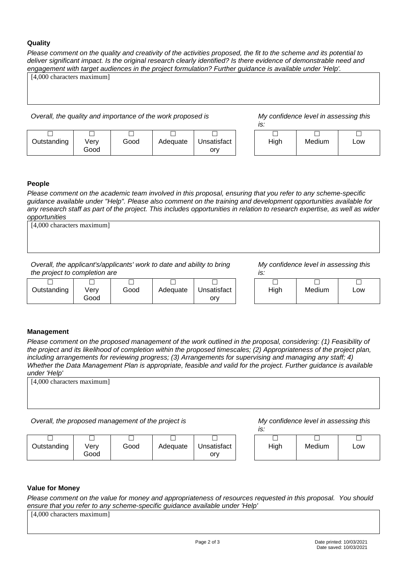## **Quality**

*Please comment on the quality and creativity of the activities proposed, the fit to the scheme and its potential to deliver significant impact. Is the original research clearly identified? Is there evidence of demonstrable need and engagement with target audiences in the project formulation? Further guidance is available under 'Help'.*

[4,000 characters maximum]

*Overall, the quality and importance of the work proposed is My confidence level in assessing this* 

*is:*

| Outstanding | Verv | Good | Adequate | Unsatisfact |
|-------------|------|------|----------|-------------|
|             | Good |      |          | orv         |

| High | Medium | Low |
|------|--------|-----|
|      |        |     |

#### **People**

*Please comment on the academic team involved in this proposal, ensuring that you refer to any scheme-specific guidance available under "Help". Please also comment on the training and development opportunities available for any research staff as part of the project. This includes opportunities in relation to research expertise, as well as wider opportunities*

| [4,000 characters maximum] |  |  |
|----------------------------|--|--|
|                            |  |  |
|                            |  |  |
|                            |  |  |

*Overall, the applicant's/applicants' work to date and ability to bring the project to completion are*

*My confidence level in assessing this is:*

|             | -            |      |          |                    |      |        |     |
|-------------|--------------|------|----------|--------------------|------|--------|-----|
| Outstanding | √erv<br>Good | Good | Adequate | Unsatisfact<br>orv | High | Medium | Low |

## **Management**

*Please comment on the proposed management of the work outlined in the proposal, considering: (1) Feasibility of the project and its likelihood of completion within the proposed timescales; (2) Appropriateness of the project plan, including arrangements for reviewing progress; (3) Arrangements for supervising and managing any staff; 4) Whether the Data Management Plan is appropriate, feasible and valid for the project. Further guidance is available under 'Help'*

[4,000 characters maximum]

*Overall, the proposed management of the project is My confidence level in assessing this* 

*is:*

|             |              |      |          |                    | $\cdot$ . |        |     |
|-------------|--------------|------|----------|--------------------|-----------|--------|-----|
|             |              |      |          |                    |           |        |     |
| Outstanding | verv<br>Good | Good | Adequate | Unsatisfact<br>orv | High      | Medium | Low |

## **Value for Money**

*Please comment on the value for money and appropriateness of resources requested in this proposal. You should ensure that you refer to any scheme-specific guidance available under 'Help'*

[4,000 characters maximum]